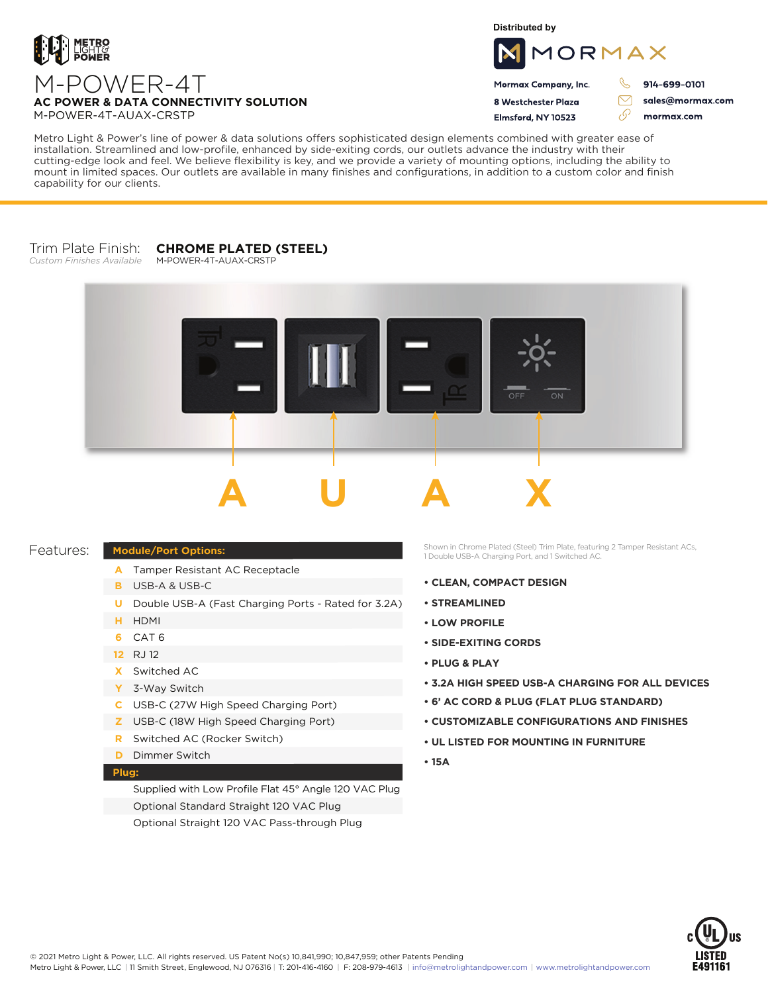

**Distributed by**



Mormax Company, Inc. 8 Westchester Plaza

Elmsford, NY 10523

914-699-0101

ק

 $\triangledown$ 

sales@mormax.com mormax.com

**AC POWER & DATA CONNECTIVITY SOLUTION** M-POWER-4T-AUAX-CRSTP

M-POWER-4T

Metro Light & Power's line of power & data solutions offers sophisticated design elements combined with greater ease of installation. Streamlined and low-profile, enhanced by side-exiting cords, our outlets advance the industry with their cutting-edge look and feel. We believe flexibility is key, and we provide a variety of mounting options, including the ability to mount in limited spaces. Our outlets are available in many finishes and configurations, in addition to a custom color and finish capability for our clients.

## Trim Plate Finish: *Custom Finishes Available* **CHROME PLATED (STEEL)**

M-POWER-4T-AUAX-CRSTP



## Features:

## **Module/Port Options:**

- A Tamper Resistant AC Receptacle
- USB-A & USB-C **B**
- U Double USB-A (Fast Charging Ports Rated for 3.2A)
- HDMI **H**
- CAT 6 **6**
- 12 RJ 12
- Switched AC **X**
- 3-Way Switch **Y**
- USB-C (27W High Speed Charging Port) **C**
- USB-C (18W High Speed Charging Port) **Z**
- Switched AC (Rocker Switch) **R**
- **D** Dimmer Switch

## **Plug:**

Supplied with Low Profile Flat 45° Angle 120 VAC Plug Optional Standard Straight 120 VAC Plug Optional Straight 120 VAC Pass-through Plug

Shown in Chrome Plated (Steel) Trim Plate, featuring 2 Tamper Resistant ACs, 1 Double USB-A Charging Port, and 1 Switched AC.

- **CLEAN, COMPACT DESIGN**
- **STREAMLINED**
- **LOW PROFILE**
- **SIDE-EXITING CORDS**
- **PLUG & PLAY**
- **3.2A HIGH SPEED USB-A CHARGING FOR ALL DEVICES**
- **6' AC CORD & PLUG (FLAT PLUG STANDARD)**
- **CUSTOMIZABLE CONFIGURATIONS AND FINISHES**
- **UL LISTED FOR MOUNTING IN FURNITURE**
- **15A**